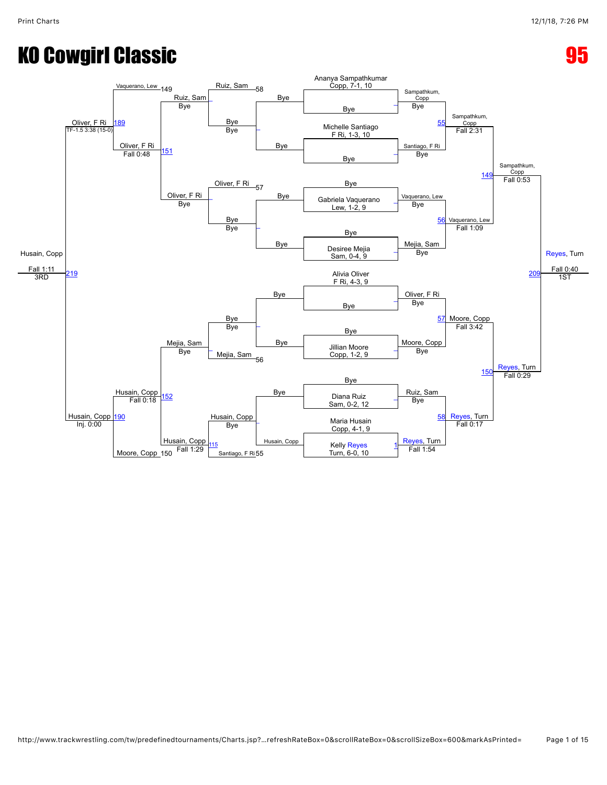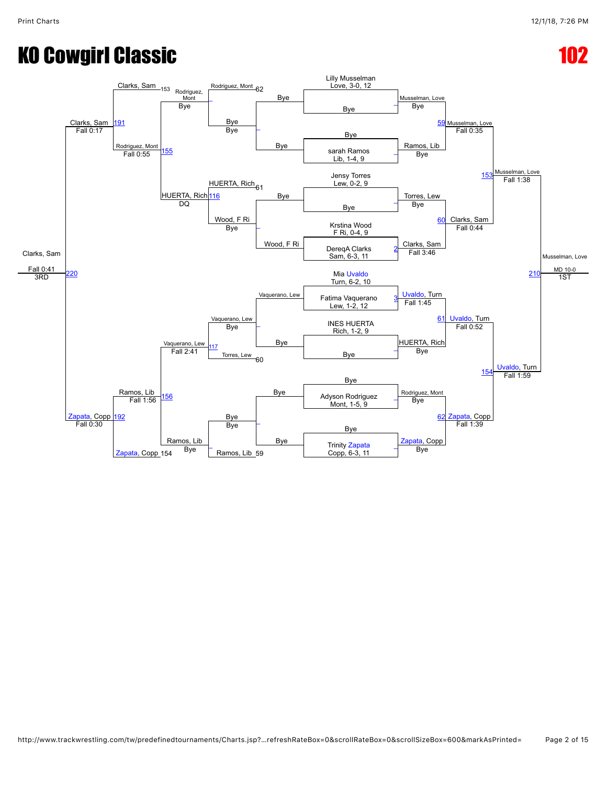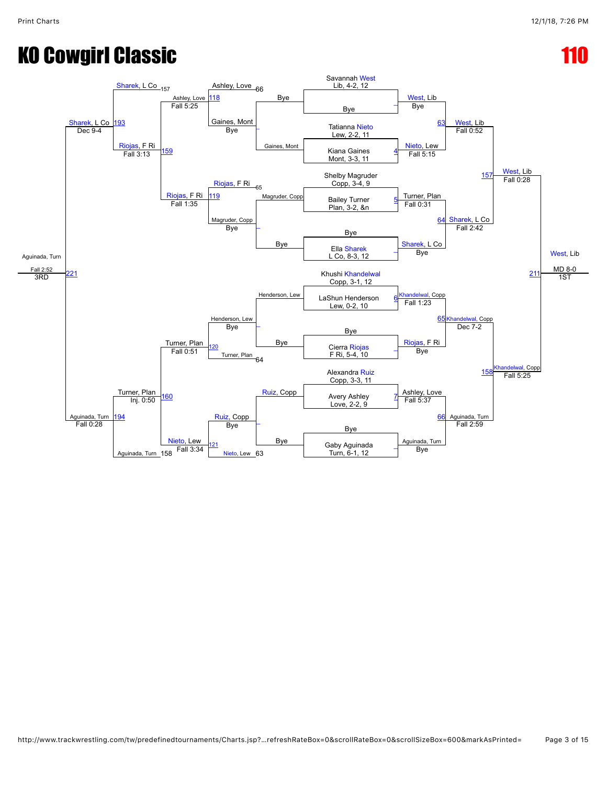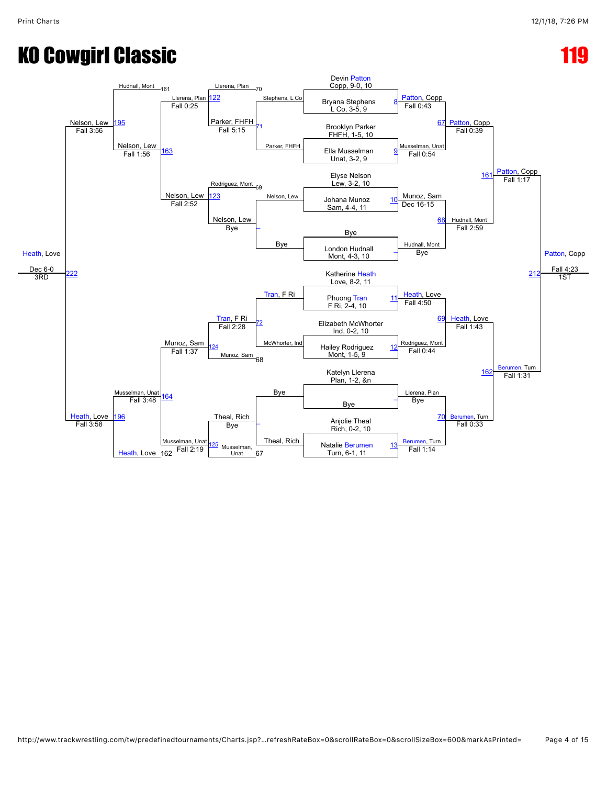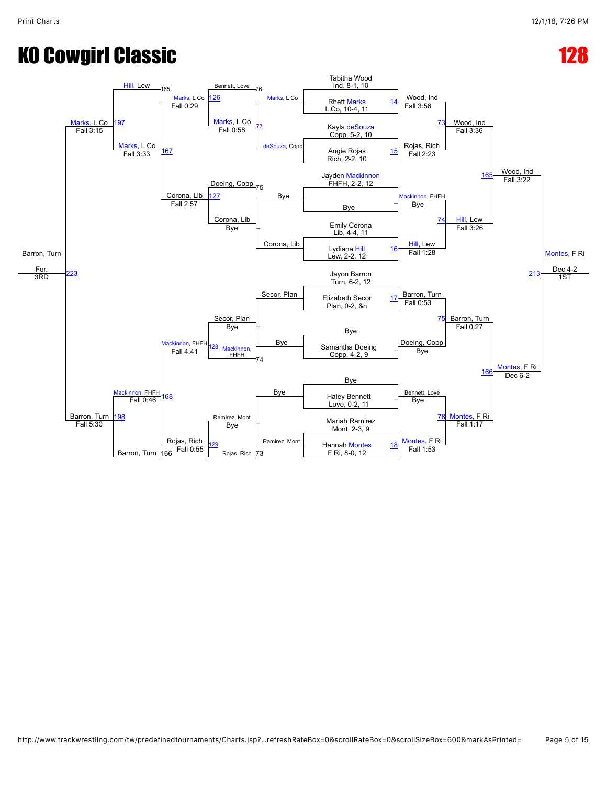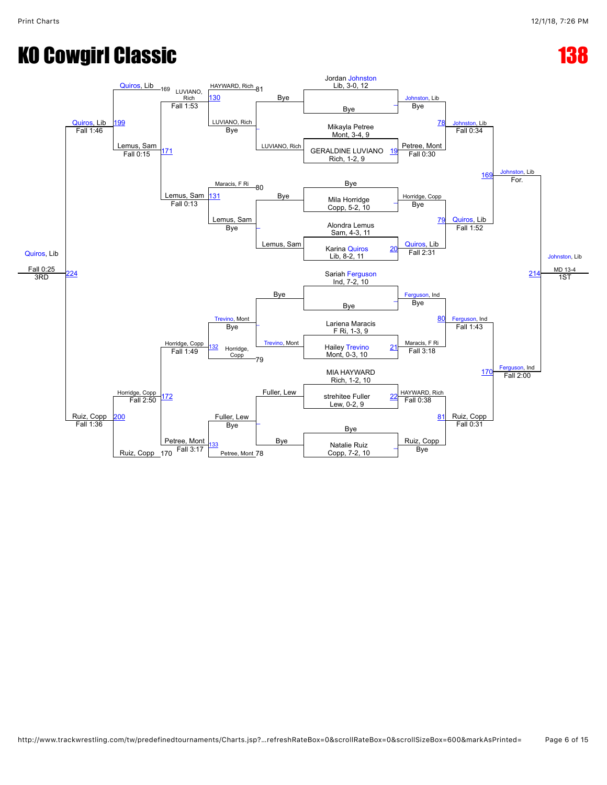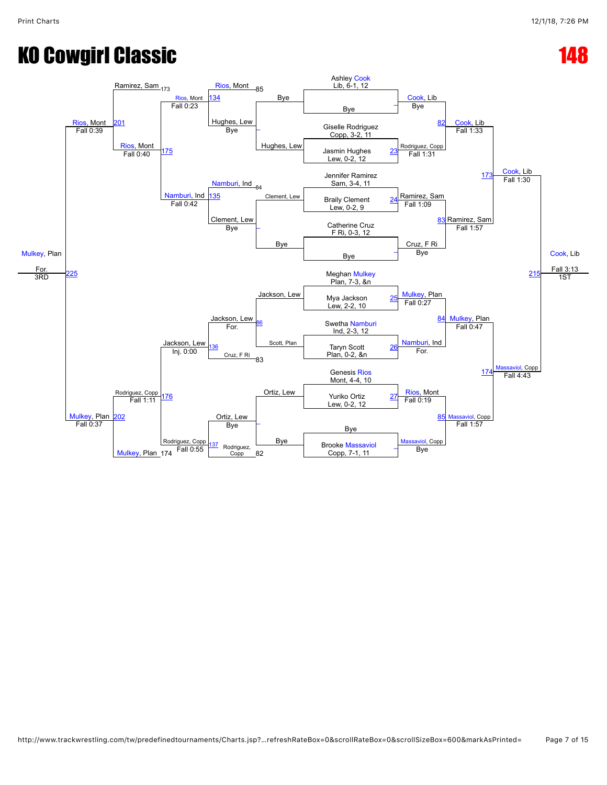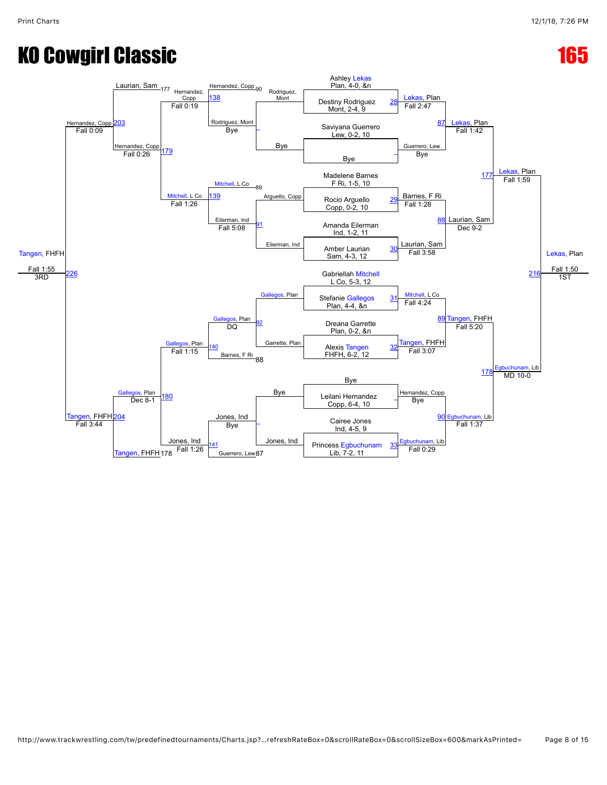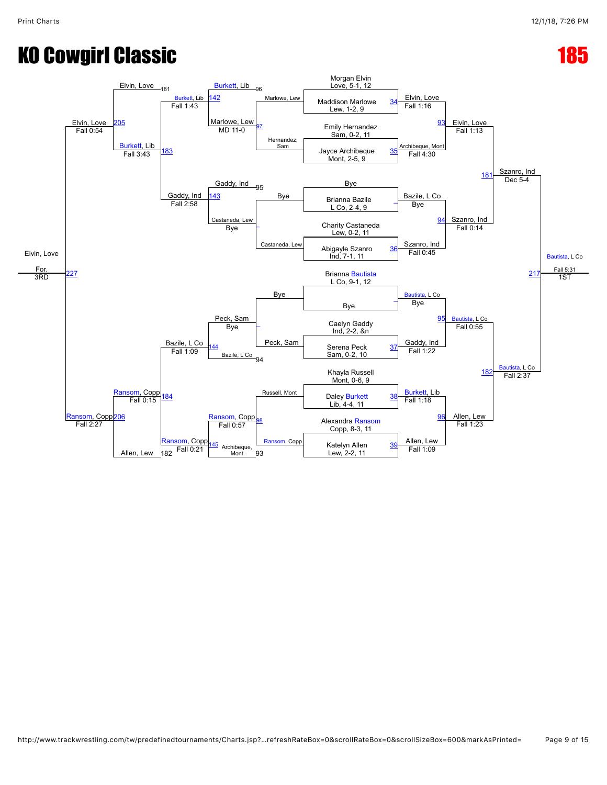![](_page_8_Figure_3.jpeg)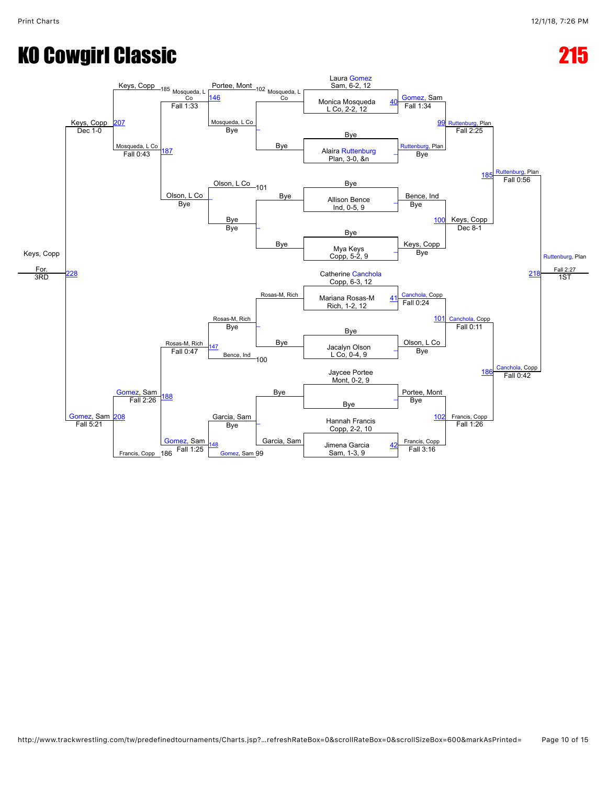![](_page_9_Figure_3.jpeg)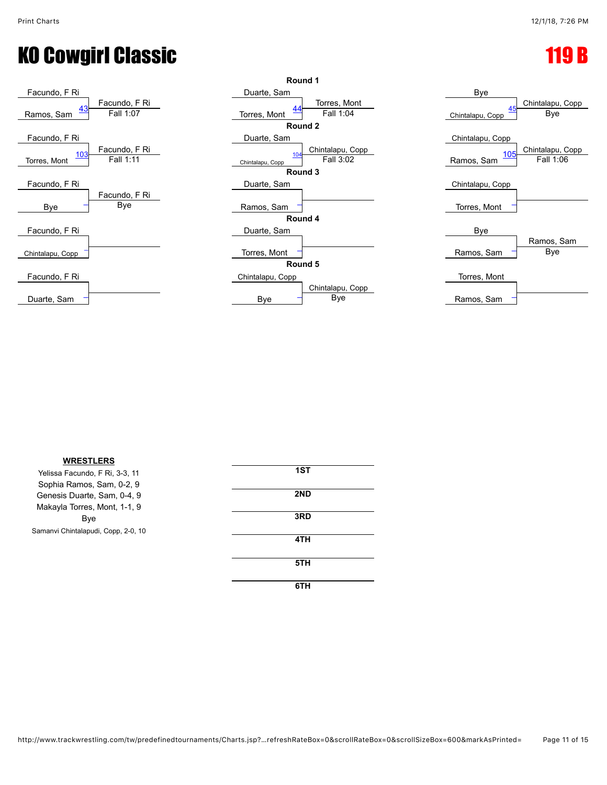![](_page_10_Figure_3.jpeg)

![](_page_10_Figure_4.jpeg)

![](_page_10_Figure_5.jpeg)

| <b>WRESTLERS</b>                    |     |
|-------------------------------------|-----|
| Yelissa Facundo, F Ri, 3-3, 11      | 1ST |
| Sophia Ramos, Sam, 0-2, 9           |     |
| Genesis Duarte, Sam, 0-4, 9         | 2ND |
| Makayla Torres, Mont, 1-1, 9        |     |
| Bye                                 | 3RD |
| Samanvi Chintalapudi, Copp, 2-0, 10 |     |
|                                     | 4TH |
|                                     |     |
|                                     | 5TH |
|                                     |     |

**6TH**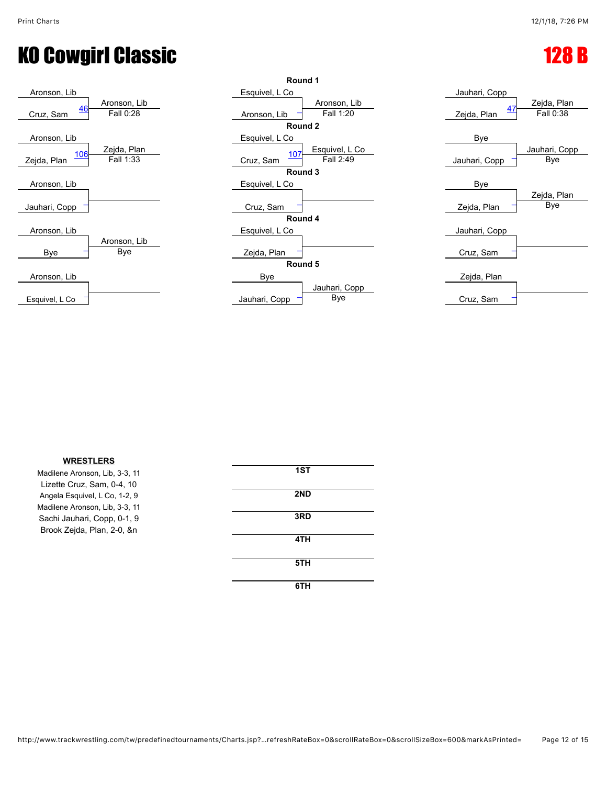### KO Cowgirl Classic **128 B**

![](_page_11_Figure_3.jpeg)

![](_page_11_Figure_4.jpeg)

| Jauhari, Copp<br>Zejda, Plan<br><u>47</u><br>Fall 0:38<br>Zejda, Plan |
|-----------------------------------------------------------------------|
| Bye                                                                   |
| Jauhari, Copp<br>Bye<br>Jauhari, Copp                                 |
| Bye                                                                   |
| Zejda, Plan<br>Bye<br>Zejda, Plan                                     |
| Jauhari, Copp                                                         |
| Cruz, Sam                                                             |
| Zejda, Plan                                                           |
| Cruz Sam                                                              |

| <b>WRESTLERS</b>               |     |  |
|--------------------------------|-----|--|
| Madilene Aronson, Lib, 3-3, 11 | 1ST |  |
| Lizette Cruz, Sam, 0-4, 10     |     |  |
| Angela Esquivel, L Co, 1-2, 9  | 2ND |  |
| Madilene Aronson, Lib, 3-3, 11 |     |  |
| Sachi Jauhari, Copp, 0-1, 9    | 3RD |  |
| Brook Zejda, Plan, 2-0, &n     |     |  |
|                                | 4TH |  |
|                                | 5TH |  |
|                                |     |  |
|                                | 6TH |  |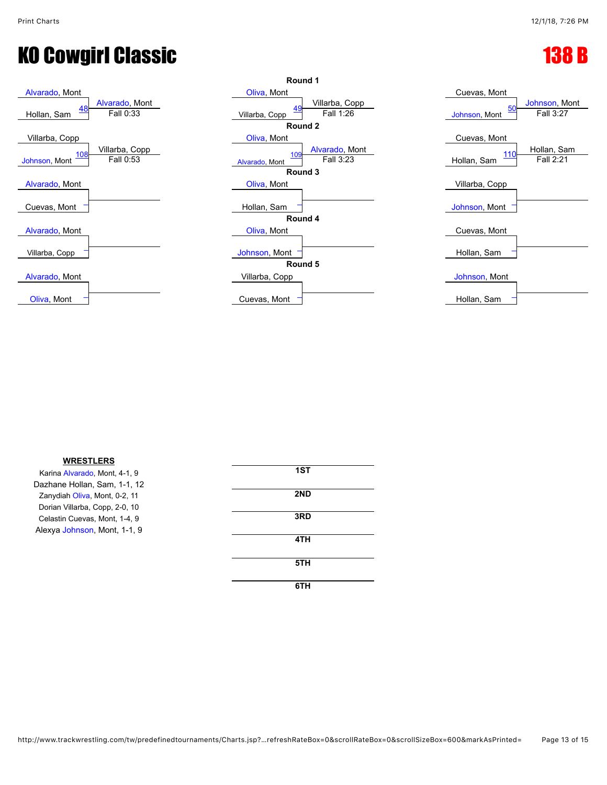# KO Cowgirl Classic **138 B**

![](_page_12_Figure_3.jpeg)

![](_page_12_Figure_4.jpeg)

| Cuevas, Mont                                             |
|----------------------------------------------------------|
| Johnson, Mont<br><u>50</u><br>Fall 3:27<br>Johnson, Mont |
| Cuevas, Mont                                             |
| Hollan, Sam<br><u> 110</u><br>Fall $2:21$<br>Hollan, Sam |
| Villarba, Copp                                           |
| Johnson, Mont                                            |
| Cuevas, Mont                                             |
| Hollan, Sam                                              |
| Johnson, Mont                                            |
| Hollan, Sam                                              |

| <b>WRESTLERS</b>               |     |
|--------------------------------|-----|
| Karina Alvarado, Mont, 4-1, 9  | 1ST |
| Dazhane Hollan, Sam, 1-1, 12   |     |
| Zanydiah Oliva, Mont, 0-2, 11  | 2ND |
| Dorian Villarba, Copp, 2-0, 10 |     |
| Celastin Cuevas, Mont, 1-4, 9  | 3RD |
| Alexya Johnson, Mont, 1-1, 9   |     |
|                                | 4TH |
|                                |     |
|                                | 5TH |
|                                |     |

#### **6TH**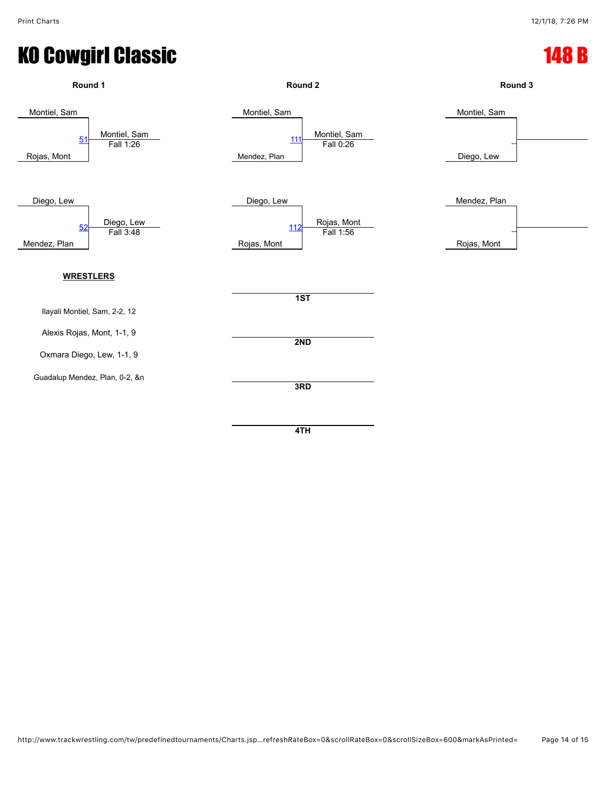![](_page_13_Figure_3.jpeg)